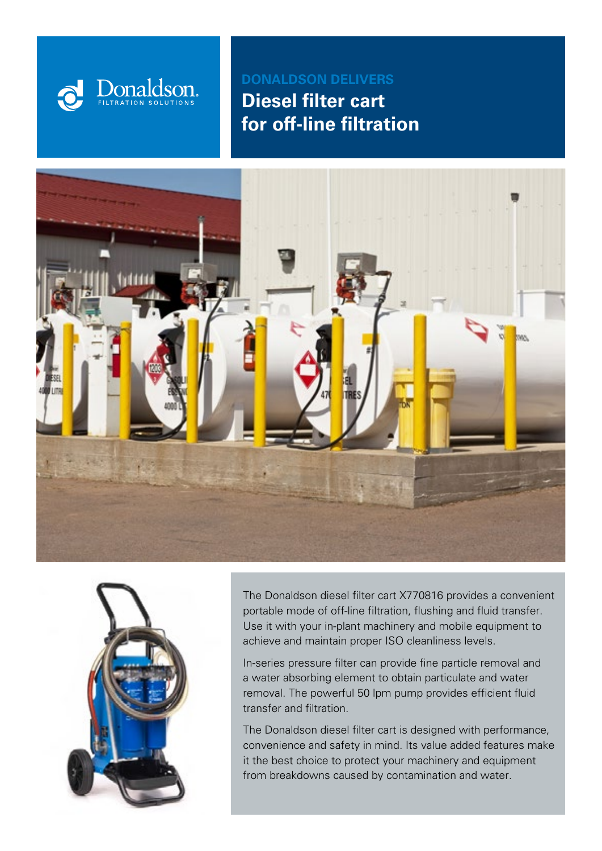

**DONALDSON DELIVERS Diesel filter cart for off-line filtration**





The Donaldson diesel filter cart X770816 provides a convenient portable mode of off-line filtration, flushing and fluid transfer. Use it with your in-plant machinery and mobile equipment to achieve and maintain proper ISO cleanliness levels.

In-series pressure filter can provide fine particle removal and a water absorbing element to obtain particulate and water removal. The powerful 50 lpm pump provides efficient fluid transfer and filtration.

The Donaldson diesel filter cart is designed with performance, convenience and safety in mind. Its value added features make it the best choice to protect your machinery and equipment from breakdowns caused by contamination and water.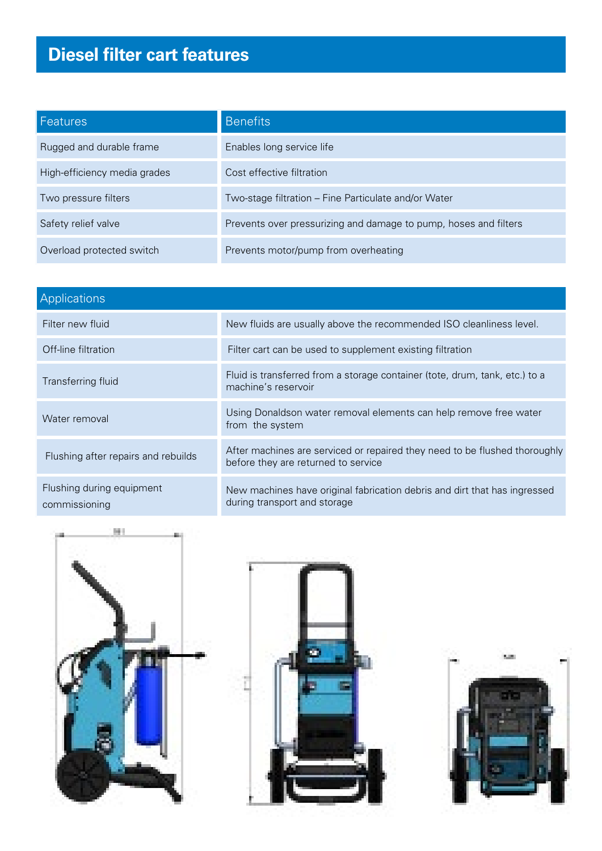# **Diesel filter cart features**

| 'Features,                   | <b>Benefits</b>                                                  |
|------------------------------|------------------------------------------------------------------|
| Rugged and durable frame     | Enables long service life                                        |
| High-efficiency media grades | Cost effective filtration                                        |
| Two pressure filters         | Two-stage filtration – Fine Particulate and/or Water             |
| Safety relief valve          | Prevents over pressurizing and damage to pump, hoses and filters |
| Overload protected switch    | Prevents motor/pump from overheating                             |

| <b>Applications</b>                        |                                                                                                                   |  |  |
|--------------------------------------------|-------------------------------------------------------------------------------------------------------------------|--|--|
| Filter new fluid                           | New fluids are usually above the recommended ISO cleanliness level.                                               |  |  |
| Off-line filtration                        | Filter cart can be used to supplement existing filtration                                                         |  |  |
| Transferring fluid                         | Fluid is transferred from a storage container (tote, drum, tank, etc.) to a<br>machine's reservoir                |  |  |
| Water removal                              | Using Donaldson water removal elements can help remove free water<br>from the system                              |  |  |
| Flushing after repairs and rebuilds        | After machines are serviced or repaired they need to be flushed thoroughly<br>before they are returned to service |  |  |
| Flushing during equipment<br>commissioning | New machines have original fabrication debris and dirt that has ingressed<br>during transport and storage         |  |  |





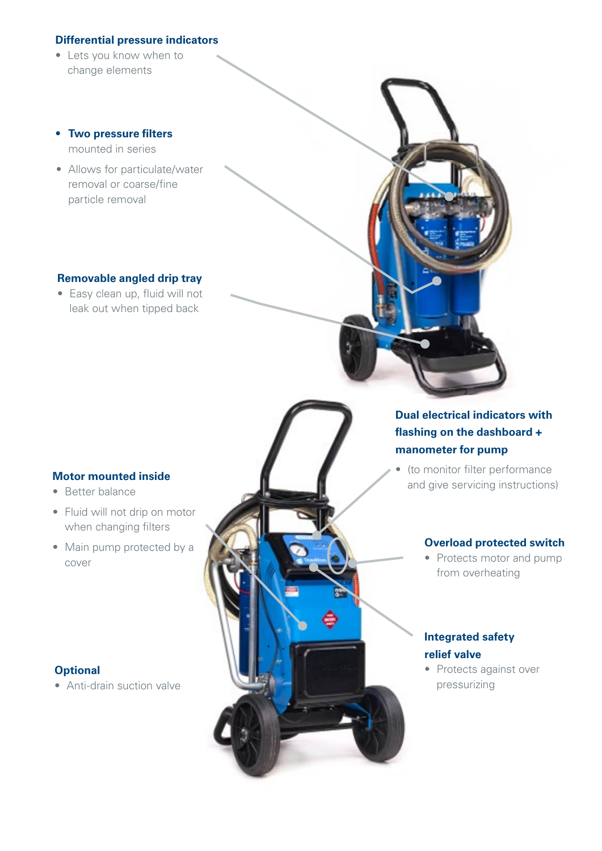#### **Differential pressure indicators**

- Lets you know when to change elements
- **• Two pressure filters**  mounted in series
- Allows for particulate/water removal or coarse/fine particle removal

#### **Removable angled drip tray**

• Easy clean up, fluid will not leak out when tipped back

#### **Motor mounted inside**

- Better balance
- Fluid will not drip on motor when changing filters
- Main pump protected by a cover

#### **Optional**

• Anti-drain suction valve



### **Dual electrical indicators with flashing on the dashboard + manometer for pump**

• (to monitor filter performance and give servicing instructions)

#### **Overload protected switch**

• Protects motor and pump from overheating

#### **Integrated safety relief valve**

• Protects against over pressurizing